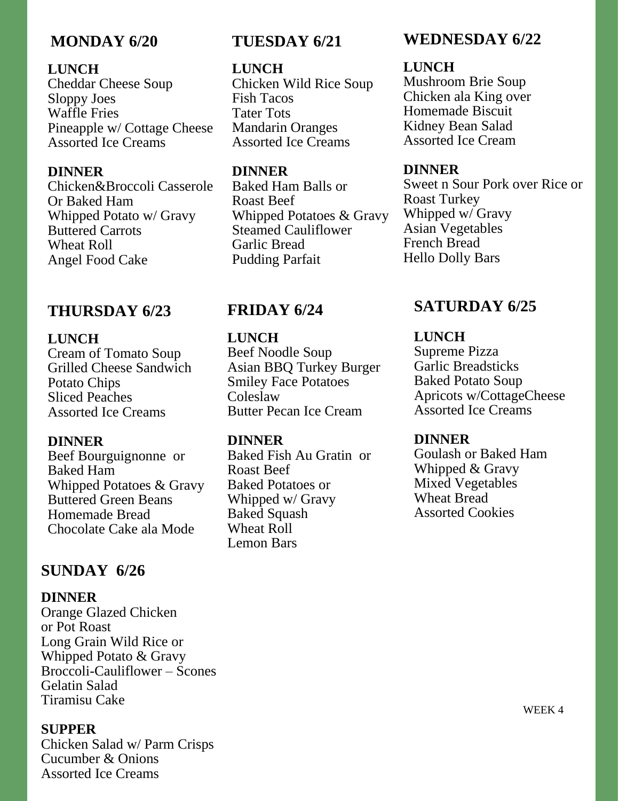# **MONDAY 6/20**

### **LUNCH**

Cheddar Cheese Soup Sloppy Joes Waffle Fries Pineapple w/ Cottage Cheese Assorted Ice Creams

#### **DINNER**

Chicken&Broccoli Casserole Or Baked Ham Whipped Potato w/ Gravy Buttered Carrots Wheat Roll Angel Food Cake

### **THURSDAY 6/23**

#### **LUNCH**

Cream of Tomato Soup Grilled Cheese Sandwich Potato Chips Sliced Peaches Assorted Ice Creams

#### **DINNER**

Beef Bourguignonne or Baked Ham Whipped Potatoes & Gravy Buttered Green Beans Homemade Bread Chocolate Cake ala Mode

## **SUNDAY 6/26**

#### **DINNER**

Orange Glazed Chicken or Pot Roast Long Grain Wild Rice or Whipped Potato & Gravy Broccoli-Cauliflower – Scones Gelatin Salad Tiramisu Cake

#### **SUPPER**

Chicken Salad w/ Parm Crisps Cucumber & Onions Assorted Ice Creams

# **TUESDAY 6/21**

#### **LUNCH**

Chicken Wild Rice Soup Fish Tacos Tater Tots Mandarin Oranges Assorted Ice Creams

### **DINNER**

Baked Ham Balls or Roast Beef Whipped Potatoes & Gravy Steamed Cauliflower Garlic Bread Pudding Parfait

## **FRIDAY 6/24**

**LUNCH** Beef Noodle Soup Asian BBQ Turkey Burger Smiley Face Potatoes Coleslaw Butter Pecan Ice Cream

### **DINNER**

Baked Fish Au Gratin or Roast Beef Baked Potatoes or Whipped w/ Gravy Baked Squash Wheat Roll Lemon Bars

# **WEDNESDAY 6/22**

### **LUNCH**

Mushroom Brie Soup Chicken ala King over Homemade Biscuit Kidney Bean Salad Assorted Ice Cream

#### **DINNER**

Sweet n Sour Pork over Rice or Roast Turkey Whipped w/ Gravy Asian Vegetables French Bread Hello Dolly Bars

# **SATURDAY 6/25**

#### **LUNCH**

Supreme Pizza Garlic Breadsticks Baked Potato Soup Apricots w/CottageCheese Assorted Ice Creams

#### **DINNER**

Goulash or Baked Ham Whipped & Gravy Mixed Vegetables Wheat Bread Assorted Cookies